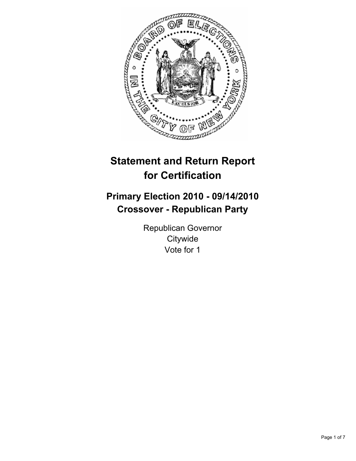

# **Statement and Return Report for Certification**

## **Primary Election 2010 - 09/14/2010 Crossover - Republican Party**

Republican Governor **Citywide** Vote for 1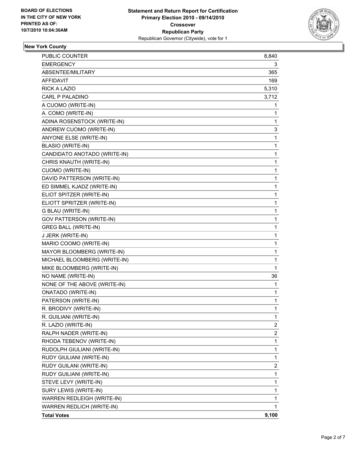

#### **New York County**

| <b>PUBLIC COUNTER</b>           | 8,840 |
|---------------------------------|-------|
| <b>EMERGENCY</b>                | 3     |
| ABSENTEE/MILITARY               | 365   |
| AFFIDAVIT                       | 169   |
| <b>RICK A LAZIO</b>             | 5,310 |
| <b>CARL P PALADINO</b>          | 3,712 |
| A CUOMO (WRITE-IN)              | 1     |
| A. COMO (WRITE-IN)              | 1     |
| ADINA ROSENSTOCK (WRITE-IN)     | 1     |
| ANDREW CUOMO (WRITE-IN)         | 3     |
| ANYONE ELSE (WRITE-IN)          | 1     |
| <b>BLASIO (WRITE-IN)</b>        | 1     |
| CANDIDATO ANOTADO (WRITE-IN)    | 1     |
| CHRIS KNAUTH (WRITE-IN)         | 1     |
| <b>CUOMO (WRITE-IN)</b>         | 1     |
| DAVID PATTERSON (WRITE-IN)      | 1     |
| ED SIMMEL KJADZ (WRITE-IN)      | 1     |
| ELIOT SPITZER (WRITE-IN)        | 1     |
| ELIOTT SPRITZER (WRITE-IN)      | 1     |
| G BLAU (WRITE-IN)               | 1     |
| <b>GOV PATTERSON (WRITE-IN)</b> | 1     |
| <b>GREG BALL (WRITE-IN)</b>     | 1     |
| J JERK (WRITE-IN)               | 1     |
| MARIO COOMO (WRITE-IN)          | 1     |
| MAYOR BLOOMBERG (WRITE-IN)      | 1     |
| MICHAEL BLOOMBERG (WRITE-IN)    | 1     |
| MIKE BLOOMBERG (WRITE-IN)       | 1     |
| NO NAME (WRITE-IN)              | 36    |
| NONE OF THE ABOVE (WRITE-IN)    | 1     |
| <b>ONATADO (WRITE-IN)</b>       | 1     |
| PATERSON (WRITE-IN)             | 1     |
| R. BRODIVY (WRITE-IN)           | 1     |
| R. GUILIANI (WRITE-IN)          | 1     |
| R. LAZIO (WRITE-IN)             | 2     |
| RALPH NADER (WRITE-IN)          | 2     |
| RHODA TEBENOV (WRITE-IN)        | 1     |
| RUDOLPH GIULIANI (WRITE-IN)     | 1     |
| RUDY GIULIANI (WRITE-IN)        | 1     |
| RUDY GUILANI (WRITE-IN)         | 2     |
| RUDY GUILIANI (WRITE-IN)        | 1     |
| STEVE LEVY (WRITE-IN)           | 1     |
| SURY LEWIS (WRITE-IN)           | 1     |
| WARREN REDLEIGH (WRITE-IN)      | 1     |
| WARREN REDLICH (WRITE-IN)       | 1     |
| <b>Total Votes</b>              | 9,100 |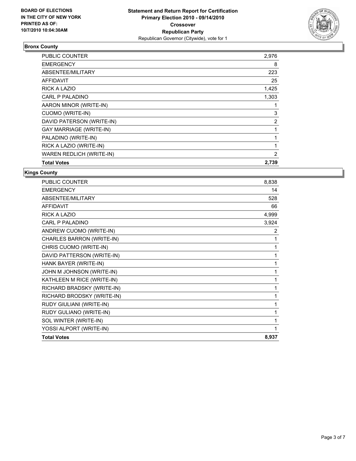

#### **Bronx County**

| PUBLIC COUNTER                 | 2,976          |
|--------------------------------|----------------|
| <b>EMERGENCY</b>               | 8              |
| ABSENTEE/MILITARY              | 223            |
| <b>AFFIDAVIT</b>               | 25             |
| RICK A LAZIO                   | 1,425          |
| CARL P PALADINO                | 1,303          |
| AARON MINOR (WRITE-IN)         |                |
| CUOMO (WRITE-IN)               | 3              |
| DAVID PATERSON (WRITE-IN)      | 2              |
| <b>GAY MARRIAGE (WRITE-IN)</b> |                |
| PALADINO (WRITE-IN)            | 1              |
| RICK A LAZIO (WRITE-IN)        | 1              |
| WAREN REDLICH (WRITE-IN)       | $\overline{2}$ |
| <b>Total Votes</b>             | 2,739          |

**Kings County**

| PUBLIC COUNTER             | 8,838 |
|----------------------------|-------|
| <b>EMERGENCY</b>           | 14    |
| <b>ABSENTEE/MILITARY</b>   | 528   |
| <b>AFFIDAVIT</b>           | 66    |
| <b>RICK A LAZIO</b>        | 4,999 |
| <b>CARL P PALADINO</b>     | 3,924 |
| ANDREW CUOMO (WRITE-IN)    | 2     |
| CHARLES BARRON (WRITE-IN)  | 1     |
| CHRIS CUOMO (WRITE-IN)     | 1     |
| DAVID PATTERSON (WRITE-IN) | 1     |
| HANK BAYER (WRITE-IN)      | 1     |
| JOHN M JOHNSON (WRITE-IN)  | 1     |
| KATHLEEN M RICE (WRITE-IN) | 1     |
| RICHARD BRADSKY (WRITE-IN) | 1     |
| RICHARD BRODSKY (WRITE-IN) | 1     |
| RUDY GIULIANI (WRITE-IN)   | 1     |
| RUDY GULIANO (WRITE-IN)    | 1     |
| SOL WINTER (WRITE-IN)      | 1     |
| YOSSI ALPORT (WRITE-IN)    | 1     |
| <b>Total Votes</b>         | 8,937 |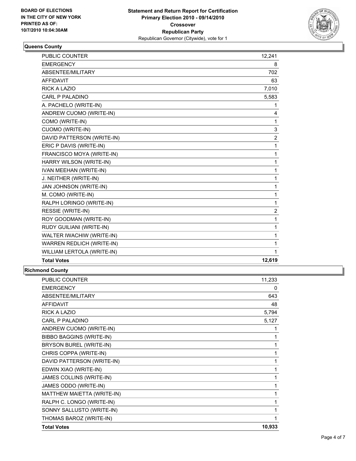

#### **Queens County**

| <b>PUBLIC COUNTER</b>            | 12,241         |
|----------------------------------|----------------|
| <b>EMERGENCY</b>                 | 8              |
| ABSENTEE/MILITARY                | 702            |
| <b>AFFIDAVIT</b>                 | 63             |
| <b>RICK A LAZIO</b>              | 7,010          |
| <b>CARL P PALADINO</b>           | 5,583          |
| A. PACHELO (WRITE-IN)            | 1              |
| ANDREW CUOMO (WRITE-IN)          | 4              |
| COMO (WRITE-IN)                  | 1              |
| <b>CUOMO (WRITE-IN)</b>          | 3              |
| DAVID PATTERSON (WRITE-IN)       | $\overline{2}$ |
| ERIC P DAVIS (WRITE-IN)          | 1              |
| FRANCISCO MOYA (WRITE-IN)        | 1              |
| HARRY WILSON (WRITE-IN)          | 1              |
| IVAN MEEHAN (WRITE-IN)           | 1              |
| J. NEITHER (WRITE-IN)            | 1              |
| JAN JOHNSON (WRITE-IN)           | 1              |
| M. COMO (WRITE-IN)               | 1              |
| RALPH LORINGO (WRITE-IN)         | 1              |
| <b>RESSIE (WRITE-IN)</b>         | $\overline{2}$ |
| ROY GOODMAN (WRITE-IN)           | 1              |
| RUDY GUILIANI (WRITE-IN)         | 1              |
| WALTER IWACHIW (WRITE-IN)        | 1              |
| <b>WARREN REDLICH (WRITE-IN)</b> | 1              |
| WILLIAM LERTOLA (WRITE-IN)       | 1              |
| <b>Total Votes</b>               | 12,619         |

#### **Richmond County**

| <b>PUBLIC COUNTER</b>           | 11,233 |
|---------------------------------|--------|
| <b>EMERGENCY</b>                | 0      |
| <b>ABSENTEE/MILITARY</b>        | 643    |
| <b>AFFIDAVIT</b>                | 48     |
| <b>RICK A LAZIO</b>             | 5,794  |
| <b>CARL P PALADINO</b>          | 5,127  |
| ANDREW CUOMO (WRITE-IN)         | 1      |
| <b>BIBBO BAGGINS (WRITE-IN)</b> |        |
| BRYSON BUREL (WRITE-IN)         |        |
| CHRIS COPPA (WRITE-IN)          |        |
| DAVID PATTERSON (WRITE-IN)      | 1      |
| EDWIN XIAO (WRITE-IN)           | 1      |
| JAMES COLLINS (WRITE-IN)        | 1      |
| JAMES ODDO (WRITE-IN)           | 1      |
| MATTHEW MAIETTA (WRITE-IN)      | 1      |
| RALPH C. LONGO (WRITE-IN)       | 1      |
| SONNY SALLUSTO (WRITE-IN)       |        |
| THOMAS BAROZ (WRITE-IN)         |        |
| <b>Total Votes</b>              | 10,933 |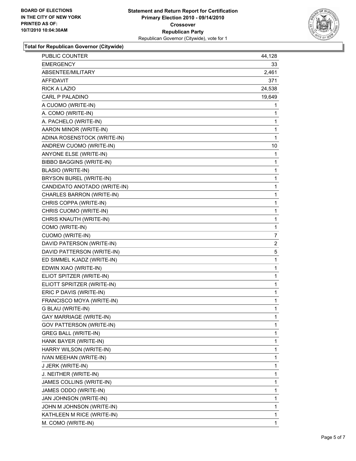

**Total for Republican Governor (Citywide)**

| PUBLIC COUNTER                  | 44,128         |
|---------------------------------|----------------|
| EMERGENCY                       | 33             |
| ABSENTEE/MILITARY               | 2,461          |
| AFFIDAVIT                       | 371            |
| <b>RICK A LAZIO</b>             | 24,538         |
| CARL P PALADINO                 | 19,649         |
| A CUOMO (WRITE-IN)              | 1              |
| A. COMO (WRITE-IN)              | 1              |
| A. PACHELO (WRITE-IN)           | 1              |
| AARON MINOR (WRITE-IN)          | 1              |
| ADINA ROSENSTOCK (WRITE-IN)     | 1              |
| ANDREW CUOMO (WRITE-IN)         | 10             |
| ANYONE ELSE (WRITE-IN)          | 1              |
| <b>BIBBO BAGGINS (WRITE-IN)</b> | 1              |
| <b>BLASIO (WRITE-IN)</b>        | 1              |
| BRYSON BUREL (WRITE-IN)         | 1              |
| CANDIDATO ANOTADO (WRITE-IN)    | 1              |
| CHARLES BARRON (WRITE-IN)       | 1              |
| CHRIS COPPA (WRITE-IN)          | 1              |
| CHRIS CUOMO (WRITE-IN)          | 1              |
| CHRIS KNAUTH (WRITE-IN)         | 1              |
| COMO (WRITE-IN)                 | 1              |
| CUOMO (WRITE-IN)                | 7              |
| DAVID PATERSON (WRITE-IN)       | $\overline{2}$ |
| DAVID PATTERSON (WRITE-IN)      | 5              |
| ED SIMMEL KJADZ (WRITE-IN)      | 1              |
| EDWIN XIAO (WRITE-IN)           | 1              |
| ELIOT SPITZER (WRITE-IN)        | 1              |
| ELIOTT SPRITZER (WRITE-IN)      | 1              |
| ERIC P DAVIS (WRITE-IN)         | 1              |
| FRANCISCO MOYA (WRITE-IN)       | 1              |
| G BLAU (WRITE-IN)               | 1              |
| <b>GAY MARRIAGE (WRITE-IN)</b>  | 1              |
| <b>GOV PATTERSON (WRITE-IN)</b> | 1              |
| <b>GREG BALL (WRITE-IN)</b>     | 1              |
| HANK BAYER (WRITE-IN)           | 1              |
| HARRY WILSON (WRITE-IN)         | 1              |
| IVAN MEEHAN (WRITE-IN)          | 1              |
| J JERK (WRITE-IN)               | 1              |
| J. NEITHER (WRITE-IN)           | 1              |
| JAMES COLLINS (WRITE-IN)        | 1              |
| JAMES ODDO (WRITE-IN)           | 1              |
| JAN JOHNSON (WRITE-IN)          | 1              |
| JOHN M JOHNSON (WRITE-IN)       | 1              |
| KATHLEEN M RICE (WRITE-IN)      | 1              |
| M. COMO (WRITE-IN)              | 1              |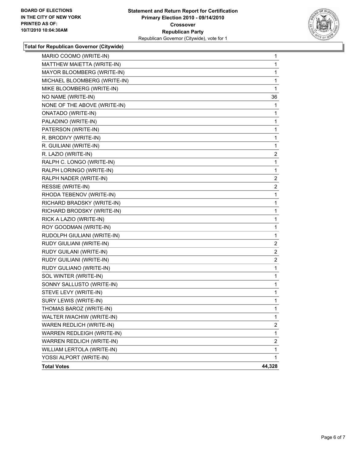

**Total for Republican Governor (Citywide)**

| MARIO COOMO (WRITE-IN)       | $\mathbf{1}$   |
|------------------------------|----------------|
| MATTHEW MAIETTA (WRITE-IN)   | $\mathbf{1}$   |
| MAYOR BLOOMBERG (WRITE-IN)   | $\mathbf 1$    |
| MICHAEL BLOOMBERG (WRITE-IN) | 1              |
| MIKE BLOOMBERG (WRITE-IN)    | 1              |
| NO NAME (WRITE-IN)           | 36             |
| NONE OF THE ABOVE (WRITE-IN) | 1              |
| <b>ONATADO (WRITE-IN)</b>    | 1              |
| PALADINO (WRITE-IN)          | $\mathbf 1$    |
| PATERSON (WRITE-IN)          | 1              |
| R. BRODIVY (WRITE-IN)        | $\mathbf 1$    |
| R. GUILIANI (WRITE-IN)       | 1              |
| R. LAZIO (WRITE-IN)          | $\overline{2}$ |
| RALPH C. LONGO (WRITE-IN)    | $\mathbf{1}$   |
| RALPH LORINGO (WRITE-IN)     | 1              |
| RALPH NADER (WRITE-IN)       | 2              |
| RESSIE (WRITE-IN)            | 2              |
| RHODA TEBENOV (WRITE-IN)     | $\mathbf 1$    |
| RICHARD BRADSKY (WRITE-IN)   | 1              |
| RICHARD BRODSKY (WRITE-IN)   | $\mathbf{1}$   |
| RICK A LAZIO (WRITE-IN)      | $\mathbf 1$    |
| ROY GOODMAN (WRITE-IN)       | 1              |
| RUDOLPH GIULIANI (WRITE-IN)  | 1              |
| RUDY GIULIANI (WRITE-IN)     | $\mathbf{2}$   |
| RUDY GUILANI (WRITE-IN)      | $\overline{2}$ |
| RUDY GUILIANI (WRITE-IN)     | 2              |
| RUDY GULIANO (WRITE-IN)      | 1              |
| SOL WINTER (WRITE-IN)        | 1              |
| SONNY SALLUSTO (WRITE-IN)    | $\mathbf{1}$   |
| STEVE LEVY (WRITE-IN)        | $\mathbf 1$    |
| SURY LEWIS (WRITE-IN)        | $\mathbf{1}$   |
| THOMAS BAROZ (WRITE-IN)      | $\mathbf{1}$   |
| WALTER IWACHIW (WRITE-IN)    | 1              |
| WAREN REDLICH (WRITE-IN)     | $\overline{2}$ |
| WARREN REDLEIGH (WRITE-IN)   | 1              |
| WARREN REDLICH (WRITE-IN)    | 2              |
| WILLIAM LERTOLA (WRITE-IN)   | 1              |
| YOSSI ALPORT (WRITE-IN)      | 1              |
| <b>Total Votes</b>           | 44,328         |